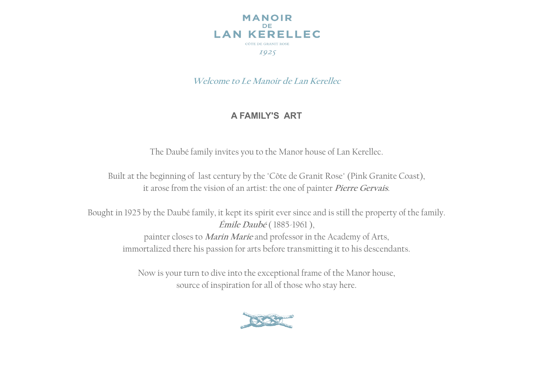

**Welcome to Le Manoir de Lan Kerellec**

# **A FAMILY'S ART**

The Daubé family invites you to the Manor house of Lan Kerellec.

Built at the beginning of last century by the "Côte de Granit Rose" (Pink Granite Coast), it arose from the vision of an artist: the one of painter **Pierre Gervais**.

Bought in 1925 by the Daubé family, it kept its spirit ever since and is still the property of the family. **Émile Daubé** ( 1885-1961 ), painter closes to **Marin Marie** and professor in the Academy of Arts, immortalized there his passion for arts before transmitting it to his descendants.

> Now is your turn to dive into the exceptional frame of the Manor house, source of inspiration for all of those who stay here.

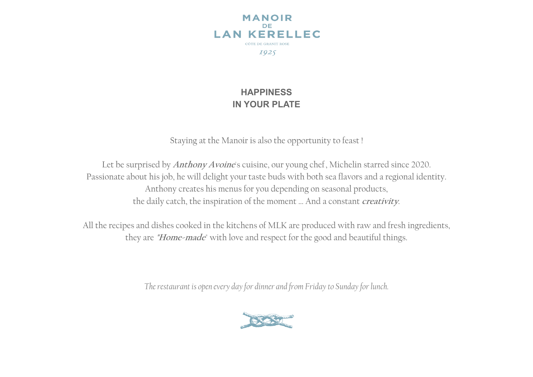

# **HAPPINESS IN YOUR PLATE**

Staying at the Manoir is also the opportunity to feast !

Let be surprised by **Anthony Avoine**'s cuisine, our young chef, Michelin starred since 2020. Passionate about his job, he will delight your taste buds with both sea flavors and a regional identity. Anthony creates his menus for you depending on seasonal products, the daily catch, the inspiration of the moment … And a constant **creativity**.

All the recipes and dishes cooked in the kitchens of MLK are produced with raw and fresh ingredients, they are **"Home-made**" with love and respect for the good and beautiful things.

*The restaurant is open every day for dinner and from Friday to Sunday for lunch.*

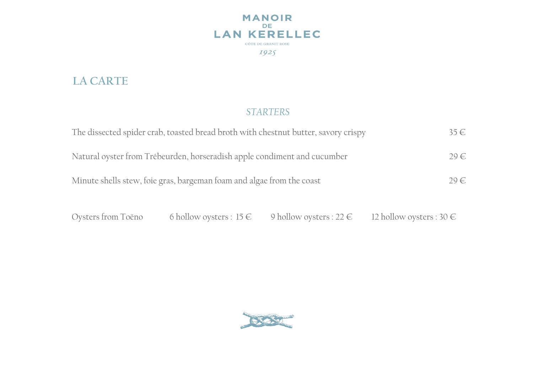

# **LA CARTE**

# *STARTERS*

| The dissected spider crab, toasted bread broth with chestnut butter, savory crispy | $35 \in$ |
|------------------------------------------------------------------------------------|----------|
| Natural oyster from Trébeurden, horseradish apple condiment and cucumber           | $29 \in$ |
| Minute shells stew, foie gras, bargeman foam and algae from the coast              | $29 \in$ |

Oysters from Toëno 6 hollow oysters :  $15 \in$  9 hollow oysters :  $22 \in$  12 hollow oysters :  $30 \in$ 

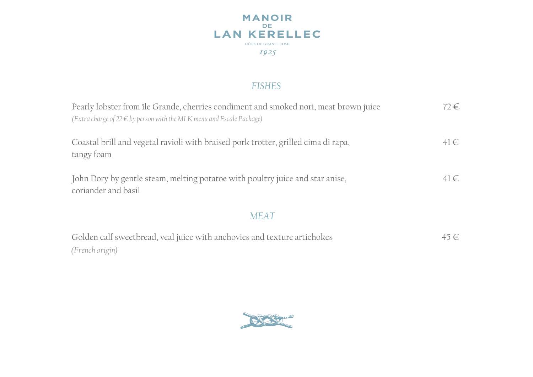

# *FISHES*

| Pearly lobster from île Grande, cherries condiment and smoked nori, meat brown juice<br>(Extra charge of $22 \in b$ y person with the MLK menu and Escale Package) | 72 €     |
|--------------------------------------------------------------------------------------------------------------------------------------------------------------------|----------|
| Coastal brill and vegetal ravioli with braised pork trotter, grilled cima di rapa,<br>tangy foam                                                                   | $41 \in$ |
| John Dory by gentle steam, melting potatoe with poultry juice and star anise,<br>coriander and basil                                                               | 41€      |
| MFA <sub>1</sub>                                                                                                                                                   |          |

| Golden calf sweetbread, veal juice with anchovies and texture artichokes | 45 € |
|--------------------------------------------------------------------------|------|
| (French origin)                                                          |      |

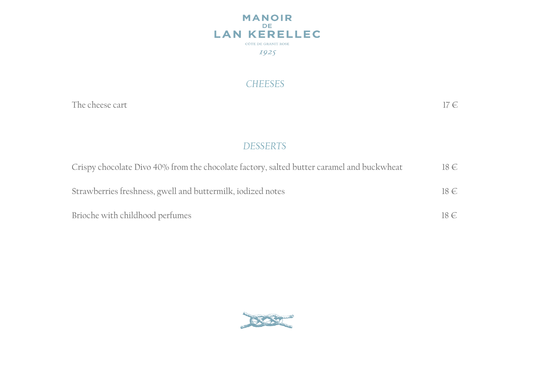

### *CHEESES*

The cheese cart  $17 \in$ 

# *DESSERTS*

| Crispy chocolate Divo 40% from the chocolate factory, salted butter caramel and buckwheat | $18 \in$ |
|-------------------------------------------------------------------------------------------|----------|
| Strawberries freshness, gwell and buttermilk, iodized notes                               | $18 \in$ |
| Brioche with childhood perfumes                                                           | $18 \in$ |

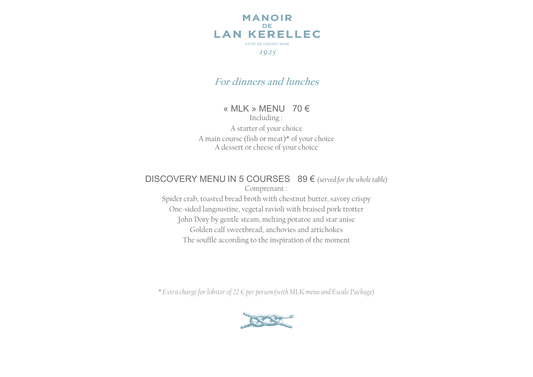

# **For dinners and lunches**

#### « MLK » MENU 70 €

Including :

A starter of your choice A main course (fish or meat)\* of your choice A dessert or cheese of your choice

#### DISCOVERY MENU IN 5 COURSES 89 € *(served for the whole table)*

Comprenant : Spider crab, toasted bread broth with chestnut butter, savory crispy One-sided langoustine, vegetal ravioli with braised pork trotter John Dory by gentle steam, melting potatoe and star anise Golden calf sweetbread, anchovies and artichokes The soufflé according to the inspiration of the moment

*\* Extra charge for lobster of 22 € per person (with MLK menu and Escale Package)*

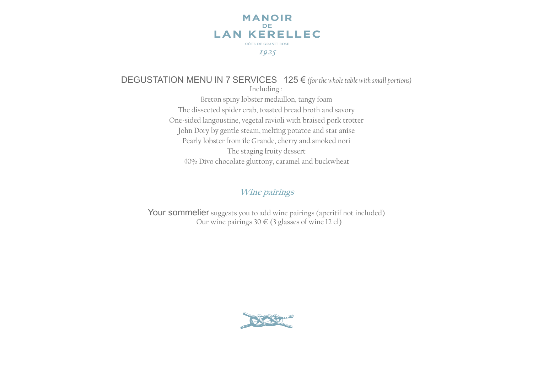

#### DEGUSTATION MENU IN 7 SERVICES 125 € *(for the whole table with small portions)* Including : Breton spiny lobster medaillon, tangy foam The dissected spider crab, toasted bread broth and savory One-sided langoustine, vegetal ravioli with braised pork trotter John Dory by gentle steam, melting potatoe and star anise Pearly lobster from île Grande, cherry and smoked nori The staging fruity dessert

40% Divo chocolate gluttony, caramel and buckwheat

#### **Wine pairings**

Your sommelier suggests you to add wine pairings (aperitif not included) Our wine pairings  $30 \in (3$  glasses of wine 12 cl)

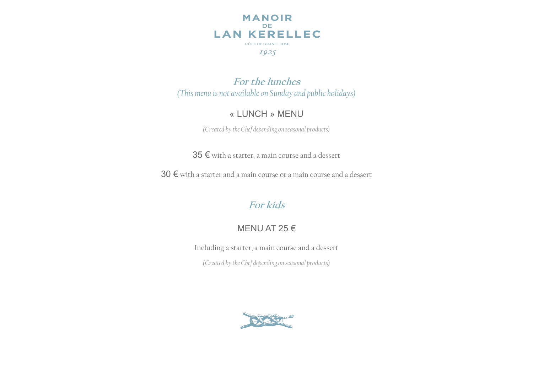

**For the lunches** *(This menu is not available on Sunday and public holidays)*

## « LUNCH » MENU

*(Created by the Chef depending on seasonal products)*

35 € with a starter, a main course and a dessert

30 € with a starter and a main course or a main course and a dessert

# **For kids**

# MENU AT 25 €

Including a starter, a main course and a dessert

*(Created by the Chef depending on seasonal products)*